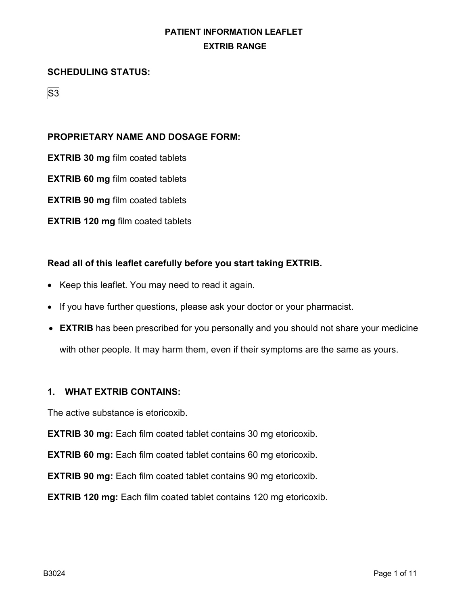#### **SCHEDULING STATUS:**

S<sub>3</sub>

### **PROPRIETARY NAME AND DOSAGE FORM:**

**EXTRIB 30 mg** film coated tablets

**EXTRIB 60 mg** film coated tablets

**EXTRIB 90 mg** film coated tablets

**EXTRIB 120 mg** film coated tablets

#### **Read all of this leaflet carefully before you start taking EXTRIB.**

- Keep this leaflet. You may need to read it again.
- If you have further questions, please ask your doctor or your pharmacist.
- **EXTRIB** has been prescribed for you personally and you should not share your medicine with other people. It may harm them, even if their symptoms are the same as yours.

#### **1. WHAT EXTRIB CONTAINS:**

The active substance is etoricoxib.

**EXTRIB 30 mg:** Each film coated tablet contains 30 mg etoricoxib.

**EXTRIB 60 mg:** Each film coated tablet contains 60 mg etoricoxib.

**EXTRIB 90 mg:** Each film coated tablet contains 90 mg etoricoxib.

**EXTRIB 120 mg:** Each film coated tablet contains 120 mg etoricoxib.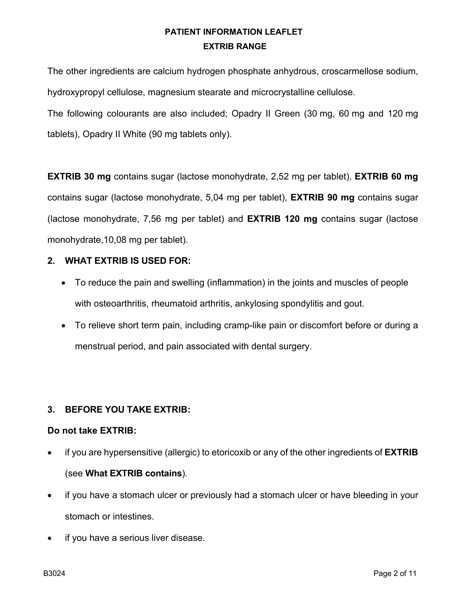The other ingredients are calcium hydrogen phosphate anhydrous, croscarmellose sodium, hydroxypropyl cellulose, magnesium stearate and microcrystalline cellulose.

The following colourants are also included; Opadry II Green (30 mg, 60 mg and 120 mg tablets), Opadry II White (90 mg tablets only).

**EXTRIB 30 mg** contains sugar (lactose monohydrate, 2,52 mg per tablet), **EXTRIB 60 mg** contains sugar (lactose monohydrate, 5,04 mg per tablet), **EXTRIB 90 mg** contains sugar (lactose monohydrate, 7,56 mg per tablet) and **EXTRIB 120 mg** contains sugar (lactose monohydrate,10,08 mg per tablet).

#### **2. WHAT EXTRIB IS USED FOR:**

- To reduce the pain and swelling (inflammation) in the joints and muscles of people with osteoarthritis, rheumatoid arthritis, ankylosing spondylitis and gout.
- To relieve short term pain, including cramp-like pain or discomfort before or during a menstrual period, and pain associated with dental surgery.

### **3. BEFORE YOU TAKE EXTRIB:**

#### **Do not take EXTRIB:**

- if you are hypersensitive (allergic) to etoricoxib or any of the other ingredients of **EXTRIB** (see **What EXTRIB contains**).
- if you have a stomach ulcer or previously had a stomach ulcer or have bleeding in your stomach or intestines.
- if you have a serious liver disease.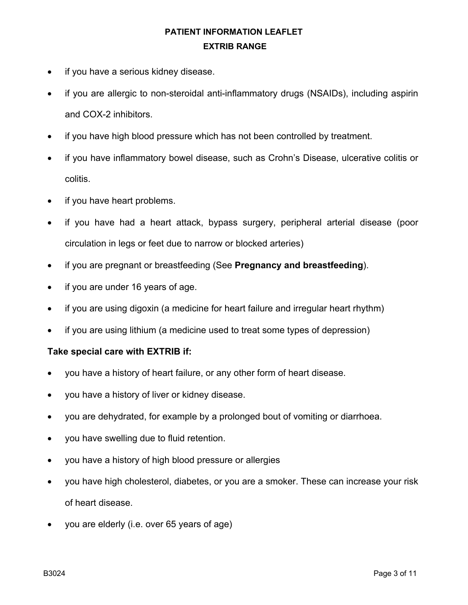- if you have a serious kidney disease.
- if you are allergic to non-steroidal anti-inflammatory drugs (NSAIDs), including aspirin and COX-2 inhibitors.
- if you have high blood pressure which has not been controlled by treatment.
- if you have inflammatory bowel disease, such as Crohn's Disease, ulcerative colitis or colitis.
- if you have heart problems.
- if you have had a heart attack, bypass surgery, peripheral arterial disease (poor circulation in legs or feet due to narrow or blocked arteries)
- if you are pregnant or breastfeeding (See **Pregnancy and breastfeeding**).
- if you are under 16 years of age.
- if you are using digoxin (a medicine for heart failure and irregular heart rhythm)
- if you are using lithium (a medicine used to treat some types of depression)

#### **Take special care with EXTRIB if:**

- you have a history of heart failure, or any other form of heart disease.
- you have a history of liver or kidney disease.
- you are dehydrated, for example by a prolonged bout of vomiting or diarrhoea.
- you have swelling due to fluid retention.
- you have a history of high blood pressure or allergies
- you have high cholesterol, diabetes, or you are a smoker. These can increase your risk of heart disease.
- you are elderly (i.e. over 65 years of age)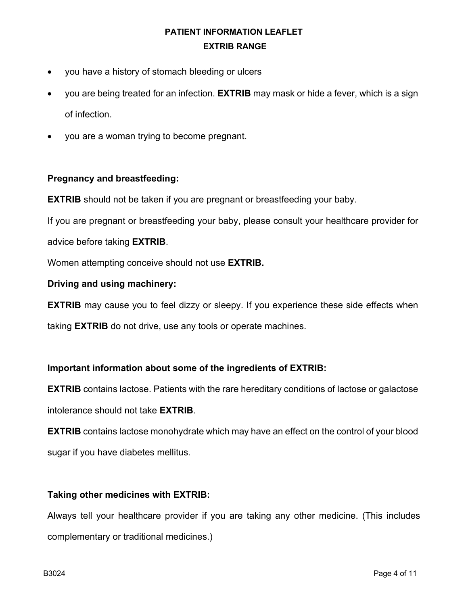- you have a history of stomach bleeding or ulcers
- you are being treated for an infection. **EXTRIB** may mask or hide a fever, which is a sign of infection.
- you are a woman trying to become pregnant.

#### **Pregnancy and breastfeeding:**

**EXTRIB** should not be taken if you are pregnant or breastfeeding your baby.

If you are pregnant or breastfeeding your baby, please consult your healthcare provider for

advice before taking **EXTRIB**.

Women attempting conceive should not use **EXTRIB.**

#### **Driving and using machinery:**

**EXTRIB** may cause you to feel dizzy or sleepy. If you experience these side effects when

taking **EXTRIB** do not drive, use any tools or operate machines.

#### **Important information about some of the ingredients of EXTRIB:**

**EXTRIB** contains lactose. Patients with the rare hereditary conditions of lactose or galactose intolerance should not take **EXTRIB**.

**EXTRIB** contains lactose monohydrate which may have an effect on the control of your blood sugar if you have diabetes mellitus.

#### **Taking other medicines with EXTRIB:**

Always tell your healthcare provider if you are taking any other medicine. (This includes complementary or traditional medicines.)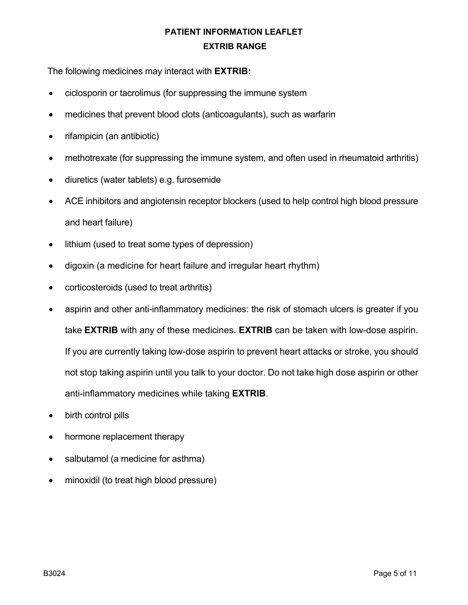The following medicines may interact with **EXTRIB:**

- ciclosporin or tacrolimus (for suppressing the immune system
- medicines that prevent blood clots (anticoagulants), such as warfarin
- rifampicin (an antibiotic)
- methotrexate (for suppressing the immune system, and often used in rheumatoid arthritis)
- diuretics (water tablets) e.g. furosemide
- ACE inhibitors and angiotensin receptor blockers (used to help control high blood pressure and heart failure)
- lithium (used to treat some types of depression)
- digoxin (a medicine for heart failure and irregular heart rhythm)
- corticosteroids (used to treat arthritis)
- aspirin and other anti-inflammatory medicines: the risk of stomach ulcers is greater if you take **EXTRIB** with any of these medicines. **EXTRIB** can be taken with low-dose aspirin. If you are currently taking low-dose aspirin to prevent heart attacks or stroke, you should not stop taking aspirin until you talk to your doctor. Do not take high dose aspirin or other anti-inflammatory medicines while taking **EXTRIB**.
- birth control pills
- hormone replacement therapy
- salbutamol (a medicine for asthma)
- minoxidil (to treat high blood pressure)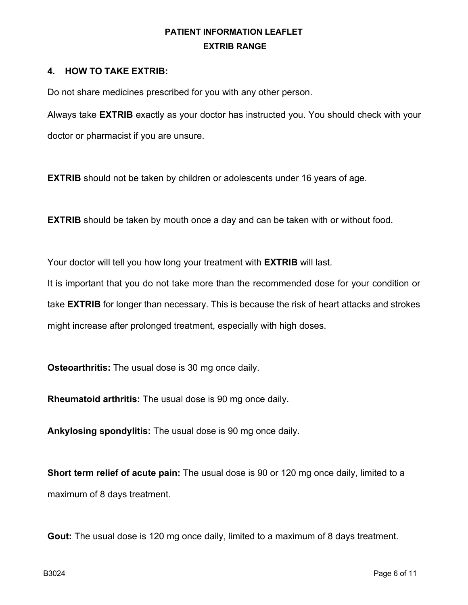#### **4. HOW TO TAKE EXTRIB:**

Do not share medicines prescribed for you with any other person.

Always take **EXTRIB** exactly as your doctor has instructed you. You should check with your doctor or pharmacist if you are unsure.

**EXTRIB** should not be taken by children or adolescents under 16 years of age.

**EXTRIB** should be taken by mouth once a day and can be taken with or without food.

Your doctor will tell you how long your treatment with **EXTRIB** will last.

It is important that you do not take more than the recommended dose for your condition or take **EXTRIB** for longer than necessary. This is because the risk of heart attacks and strokes might increase after prolonged treatment, especially with high doses.

**Osteoarthritis:** The usual dose is 30 mg once daily.

**Rheumatoid arthritis:** The usual dose is 90 mg once daily.

**Ankylosing spondylitis:** The usual dose is 90 mg once daily.

**Short term relief of acute pain:** The usual dose is 90 or 120 mg once daily, limited to a maximum of 8 days treatment.

**Gout:** The usual dose is 120 mg once daily, limited to a maximum of 8 days treatment.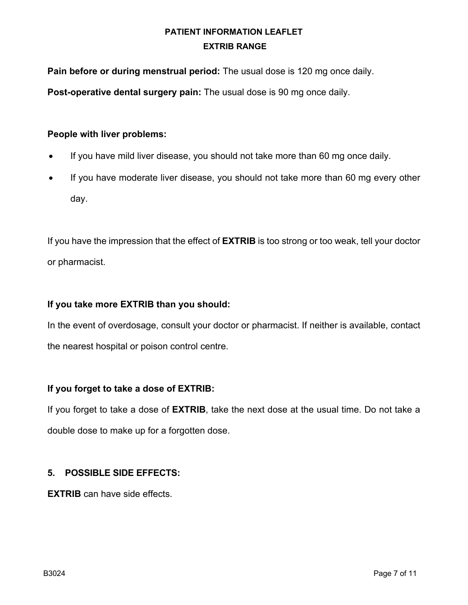**Pain before or during menstrual period:** The usual dose is 120 mg once daily.

**Post-operative dental surgery pain:** The usual dose is 90 mg once daily.

### **People with liver problems:**

- If you have mild liver disease, you should not take more than 60 mg once daily.
- If you have moderate liver disease, you should not take more than 60 mg every other day.

If you have the impression that the effect of **EXTRIB** is too strong or too weak, tell your doctor or pharmacist.

### **If you take more EXTRIB than you should:**

In the event of overdosage, consult your doctor or pharmacist. If neither is available, contact the nearest hospital or poison control centre.

### **If you forget to take a dose of EXTRIB:**

If you forget to take a dose of **EXTRIB**, take the next dose at the usual time. Do not take a double dose to make up for a forgotten dose.

### **5. POSSIBLE SIDE EFFECTS:**

**EXTRIB** can have side effects.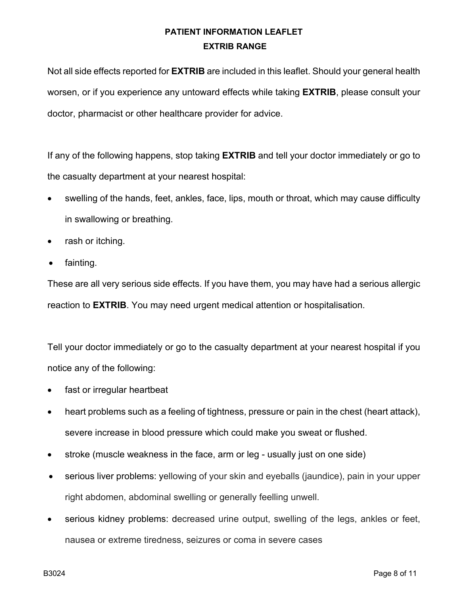Not all side effects reported for **EXTRIB** are included in this leaflet. Should your general health worsen, or if you experience any untoward effects while taking **EXTRIB**, please consult your doctor, pharmacist or other healthcare provider for advice.

If any of the following happens, stop taking **EXTRIB** and tell your doctor immediately or go to the casualty department at your nearest hospital:

- swelling of the hands, feet, ankles, face, lips, mouth or throat, which may cause difficulty in swallowing or breathing.
- rash or itching.
- fainting.

These are all very serious side effects. If you have them, you may have had a serious allergic reaction to **EXTRIB**. You may need urgent medical attention or hospitalisation.

Tell your doctor immediately or go to the casualty department at your nearest hospital if you notice any of the following:

- fast or irregular heartbeat
- heart problems such as a feeling of tightness, pressure or pain in the chest (heart attack), severe increase in blood pressure which could make you sweat or flushed.
- stroke (muscle weakness in the face, arm or leg usually just on one side)
- serious liver problems: yellowing of your skin and eyeballs (jaundice), pain in your upper right abdomen, abdominal swelling or generally feelling unwell.
- serious kidney problems: decreased urine output, swelling of the legs, ankles or feet, nausea or extreme tiredness, seizures or coma in severe cases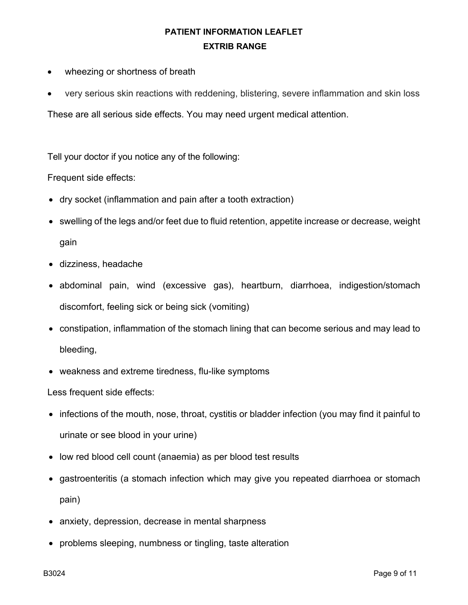- wheezing or shortness of breath
- very serious skin reactions with reddening, blistering, severe inflammation and skin loss

These are all serious side effects. You may need urgent medical attention.

Tell your doctor if you notice any of the following:

Frequent side effects:

- dry socket (inflammation and pain after a tooth extraction)
- swelling of the legs and/or feet due to fluid retention, appetite increase or decrease, weight gain
- dizziness, headache
- abdominal pain, wind (excessive gas), heartburn, diarrhoea, indigestion/stomach discomfort, feeling sick or being sick (vomiting)
- constipation, inflammation of the stomach lining that can become serious and may lead to bleeding,
- weakness and extreme tiredness, flu-like symptoms

Less frequent side effects:

- infections of the mouth, nose, throat, cystitis or bladder infection (you may find it painful to urinate or see blood in your urine)
- low red blood cell count (anaemia) as per blood test results
- gastroenteritis (a stomach infection which may give you repeated diarrhoea or stomach pain)
- anxiety, depression, decrease in mental sharpness
- problems sleeping, numbness or tingling, taste alteration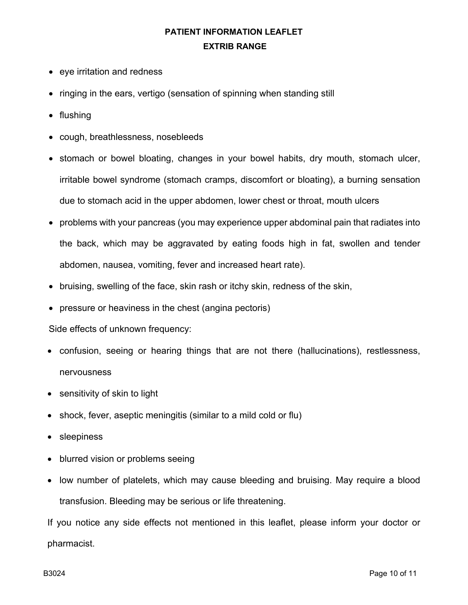- eye irritation and redness
- ringing in the ears, vertigo (sensation of spinning when standing still
- flushing
- cough, breathlessness, nosebleeds
- stomach or bowel bloating, changes in your bowel habits, dry mouth, stomach ulcer, irritable bowel syndrome (stomach cramps, discomfort or bloating), a burning sensation due to stomach acid in the upper abdomen, lower chest or throat, mouth ulcers
- problems with your pancreas (you may experience upper abdominal pain that radiates into the back, which may be aggravated by eating foods high in fat, swollen and tender abdomen, nausea, vomiting, fever and increased heart rate).
- bruising, swelling of the face, skin rash or itchy skin, redness of the skin,
- pressure or heaviness in the chest (angina pectoris)

#### Side effects of unknown frequency:

- confusion, seeing or hearing things that are not there (hallucinations), restlessness, nervousness
- sensitivity of skin to light
- shock, fever, aseptic meningitis (similar to a mild cold or flu)
- sleepiness
- blurred vision or problems seeing
- low number of platelets, which may cause bleeding and bruising. May require a blood transfusion. Bleeding may be serious or life threatening.

If you notice any side effects not mentioned in this leaflet, please inform your doctor or pharmacist.